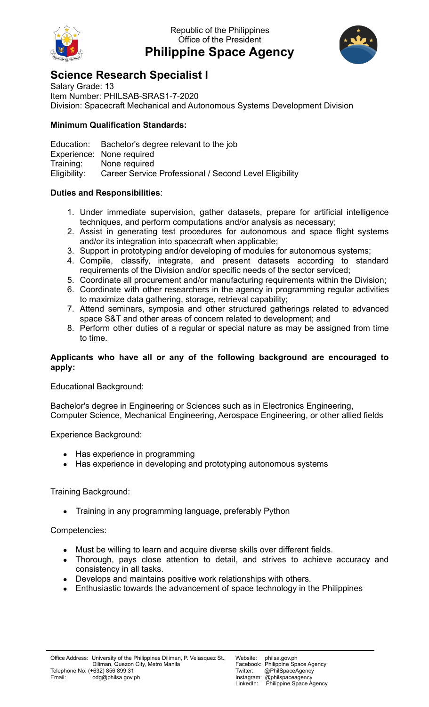

## Republic of the Philippines Office of the President **Philippine Space Agency**



# **Science Research Specialist I**

Salary Grade: 13 Item Number: PHILSAB-SRAS1-7-2020 Division: Spacecraft Mechanical and Autonomous Systems Development Division

### **Minimum Qualification Standards:**

Education: Bachelor's degree relevant to the job Experience: None required Training: None required Eligibility: Career Service Professional / Second Level Eligibility

## **Duties and Responsibilities**:

- 1. Under immediate supervision, gather datasets, prepare for artificial intelligence techniques, and perform computations and/or analysis as necessary;
- 2. Assist in generating test procedures for autonomous and space flight systems and/or its integration into spacecraft when applicable;
- 3. Support in prototyping and/or developing of modules for autonomous systems;
- 4. Compile, classify, integrate, and present datasets according to standard requirements of the Division and/or specific needs of the sector serviced;
- 5. Coordinate all procurement and/or manufacturing requirements within the Division;
- 6. Coordinate with other researchers in the agency in programming regular activities to maximize data gathering, storage, retrieval capability;
- 7. Attend seminars, symposia and other structured gatherings related to advanced space S&T and other areas of concern related to development; and
- 8. Perform other duties of a regular or special nature as may be assigned from time to time.

#### **Applicants who have all or any of the following background are encouraged to apply:**

Educational Background:

Bachelor's degree in Engineering or Sciences such as in Electronics Engineering, Computer Science, Mechanical Engineering, Aerospace Engineering, or other allied fields

Experience Background:

- Has experience in programming
- Has experience in developing and prototyping autonomous systems

Training Background:

● Training in any programming language, preferably Python

#### Competencies:

- Must be willing to learn and acquire diverse skills over different fields.
- Thorough, pays close attention to detail, and strives to achieve accuracy and consistency in all tasks.
- Develops and maintains positive work relationships with others.
- Enthusiastic towards the advancement of space technology in the Philippines